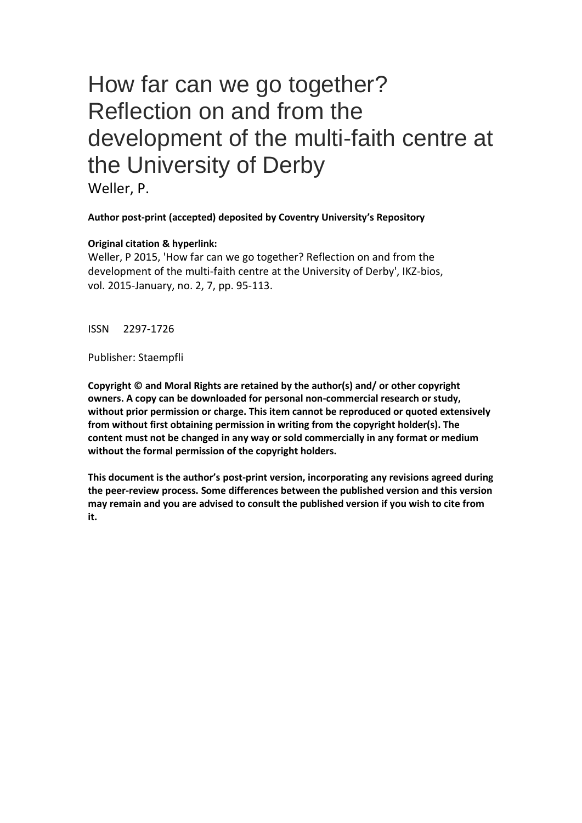# How far can we go together? Reflection on and from the development of the multi-faith centre at the University of Derby

Weller, P.

**Author post-print (accepted) deposited by Coventry University's Repository**

## **Original citation & hyperlink:**

Weller, P 2015, 'How far can we go together? Reflection on and from the development of the multi-faith centre at the University of Derby', IKZ-bios, vol. 2015-January, no. 2, 7, pp. 95-113.

ISSN 2297-1726

Publisher: Staempfli

**Copyright © and Moral Rights are retained by the author(s) and/ or other copyright owners. A copy can be downloaded for personal non-commercial research or study, without prior permission or charge. This item cannot be reproduced or quoted extensively from without first obtaining permission in writing from the copyright holder(s). The content must not be changed in any way or sold commercially in any format or medium without the formal permission of the copyright holders.** 

**This document is the author's post-print version, incorporating any revisions agreed during the peer-review process. Some differences between the published version and this version may remain and you are advised to consult the published version if you wish to cite from it.**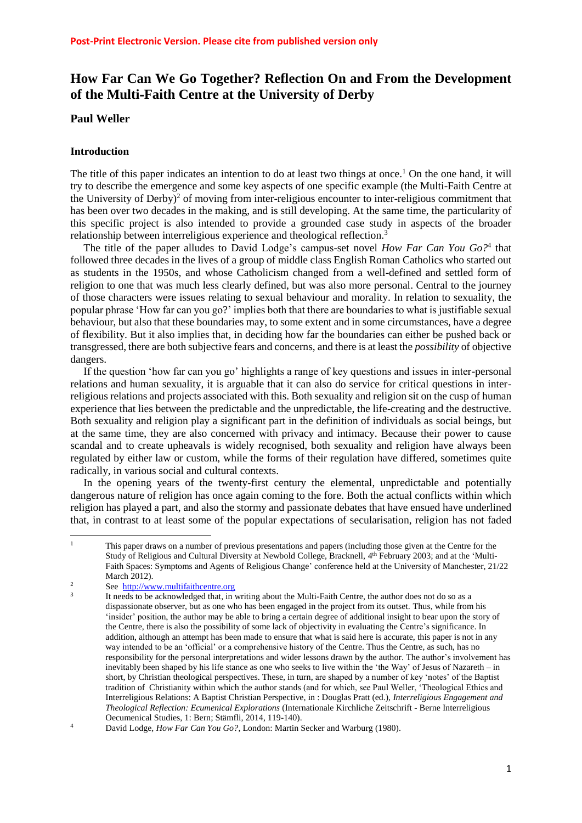# **How Far Can We Go Together? Reflection On and From the Development of the Multi**‐**Faith Centre at the University of Derby**

### **Paul Weller**

#### **Introduction**

The title of this paper indicates an intention to do at least two things at once.<sup>1</sup> On the one hand, it will try to describe the emergence and some key aspects of one specific example (the Multi-Faith Centre at the University of Derby)<sup>2</sup> of moving from inter-religious encounter to inter-religious commitment that has been over two decades in the making, and is still developing. At the same time, the particularity of this specific project is also intended to provide a grounded case study in aspects of the broader relationship between interreligious experience and theological reflection.<sup>3</sup>

The title of the paper alludes to David Lodge's campus-set novel *How Far Can You Go?*<sup>4</sup> that followed three decades in the lives of a group of middle class English Roman Catholics who started out as students in the 1950s, and whose Catholicism changed from a well-defined and settled form of religion to one that was much less clearly defined, but was also more personal. Central to the journey of those characters were issues relating to sexual behaviour and morality. In relation to sexuality, the popular phrase 'How far can you go?' implies both that there are boundaries to what is justifiable sexual behaviour, but also that these boundaries may, to some extent and in some circumstances, have a degree of flexibility. But it also implies that, in deciding how far the boundaries can either be pushed back or transgressed, there are both subjective fears and concerns, and there is at least the *possibility* of objective dangers.

If the question 'how far can you go' highlights a range of key questions and issues in inter-personal relations and human sexuality, it is arguable that it can also do service for critical questions in interreligious relations and projects associated with this. Both sexuality and religion sit on the cusp of human experience that lies between the predictable and the unpredictable, the life-creating and the destructive. Both sexuality and religion play a significant part in the definition of individuals as social beings, but at the same time, they are also concerned with privacy and intimacy. Because their power to cause scandal and to create upheavals is widely recognised, both sexuality and religion have always been regulated by either law or custom, while the forms of their regulation have differed, sometimes quite radically, in various social and cultural contexts.

In the opening years of the twenty-first century the elemental, unpredictable and potentially dangerous nature of religion has once again coming to the fore. Both the actual conflicts within which religion has played a part, and also the stormy and passionate debates that have ensued have underlined that, in contrast to at least some of the popular expectations of secularisation, religion has not faded

 $\mathbf{1}$ <sup>1</sup> This paper draws on a number of previous presentations and papers (including those given at the Centre for the Study of Religious and Cultural Diversity at Newbold College, Bracknell, 4<sup>th</sup> February 2003; and at the 'Multi-Faith Spaces: Symptoms and Agents of Religious Change' conference held at the University of Manchester, 21/22 March 2012).

<sup>2</sup> See [http://www.multifaithcentre.org](http://www.multifaithcentre.org/) 3

It needs to be acknowledged that, in writing about the Multi-Faith Centre, the author does not do so as a dispassionate observer, but as one who has been engaged in the project from its outset. Thus, while from his 'insider' position, the author may be able to bring a certain degree of additional insight to bear upon the story of the Centre, there is also the possibility of some lack of objectivity in evaluating the Centre's significance. In addition, although an attempt has been made to ensure that what is said here is accurate, this paper is not in any way intended to be an 'official' or a comprehensive history of the Centre. Thus the Centre, as such, has no responsibility for the personal interpretations and wider lessons drawn by the author. The author's involvement has inevitably been shaped by his life stance as one who seeks to live within the 'the Way' of Jesus of Nazareth – in short, by Christian theological perspectives. These, in turn, are shaped by a number of key 'notes' of the Baptist tradition of Christianity within which the author stands (and for which, see Paul Weller, 'Theological Ethics and Interreligious Relations: A Baptist Christian Perspective, in : Douglas Pratt (ed.), *Interreligious Engagement and Theological Reflection: Ecumenical Explorations* (Internationale Kirchliche Zeitschrift - Berne Interreligious Oecumenical Studies, 1: Bern; Stämfli, 2014, 119-140).

<sup>4</sup> David Lodge, *How Far Can You Go?*, London: Martin Secker and Warburg (1980).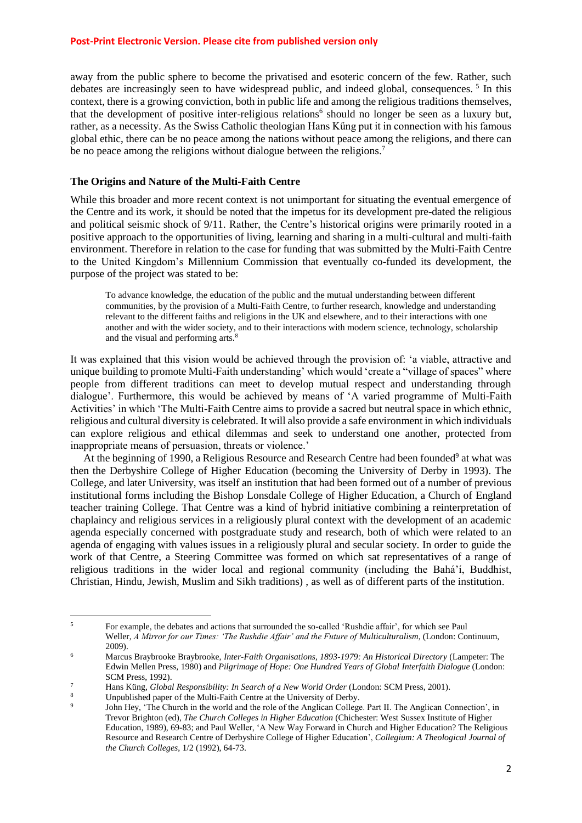away from the public sphere to become the privatised and esoteric concern of the few. Rather, such debates are increasingly seen to have widespread public, and indeed global, consequences.<sup>5</sup> In this context, there is a growing conviction, both in public life and among the religious traditions themselves, that the development of positive inter-religious relations<sup>6</sup> should no longer be seen as a luxury but, rather, as a necessity. As the Swiss Catholic theologian Hans Kűng put it in connection with his famous global ethic, there can be no peace among the nations without peace among the religions, and there can be no peace among the religions without dialogue between the religions.<sup>7</sup>

#### **The Origins and Nature of the Multi-Faith Centre**

While this broader and more recent context is not unimportant for situating the eventual emergence of the Centre and its work, it should be noted that the impetus for its development pre-dated the religious and political seismic shock of 9/11. Rather, the Centre's historical origins were primarily rooted in a positive approach to the opportunities of living, learning and sharing in a multi-cultural and multi-faith environment. Therefore in relation to the case for funding that was submitted by the Multi-Faith Centre to the United Kingdom's Millennium Commission that eventually co-funded its development, the purpose of the project was stated to be:

To advance knowledge, the education of the public and the mutual understanding between different communities, by the provision of a Multi-Faith Centre, to further research, knowledge and understanding relevant to the different faiths and religions in the UK and elsewhere, and to their interactions with one another and with the wider society, and to their interactions with modern science, technology, scholarship and the visual and performing arts.<sup>8</sup>

It was explained that this vision would be achieved through the provision of: 'a viable, attractive and unique building to promote Multi-Faith understanding' which would 'create a "village of spaces" where people from different traditions can meet to develop mutual respect and understanding through dialogue'. Furthermore, this would be achieved by means of 'A varied programme of Multi-Faith Activities' in which 'The Multi-Faith Centre aims to provide a sacred but neutral space in which ethnic, religious and cultural diversity is celebrated. It will also provide a safe environment in which individuals can explore religious and ethical dilemmas and seek to understand one another, protected from inappropriate means of persuasion, threats or violence.'

At the beginning of 1990, a Religious Resource and Research Centre had been founded<sup>9</sup> at what was then the Derbyshire College of Higher Education (becoming the University of Derby in 1993). The College, and later University, was itself an institution that had been formed out of a number of previous institutional forms including the Bishop Lonsdale College of Higher Education, a Church of England teacher training College. That Centre was a kind of hybrid initiative combining a reinterpretation of chaplaincy and religious services in a religiously plural context with the development of an academic agenda especially concerned with postgraduate study and research, both of which were related to an agenda of engaging with values issues in a religiously plural and secular society. In order to guide the work of that Centre, a Steering Committee was formed on which sat representatives of a range of religious traditions in the wider local and regional community (including the Bahá'í, Buddhist, Christian, Hindu, Jewish, Muslim and Sikh traditions) , as well as of different parts of the institution.

**<sup>.</sup>** <sup>5</sup> For example, the debates and actions that surrounded the so-called 'Rushdie affair', for which see Paul Weller, *A Mirror for our Times: 'The Rushdie Affair' and the Future of Multiculturalism*, (London: Continuum, 2009).

<sup>6</sup> Marcus Braybrooke Braybrooke, *Inter-Faith Organisations, 1893-1979: An Historical Directory* (Lampeter: The Edwin Mellen Press, 1980) and *Pilgrimage of Hope: One Hundred Years of Global Interfaith Dialogue* (London: SCM Press, 1992).

<sup>7</sup> Hans Küng, *Global Responsibility: In Search of a New World Order* (London: SCM Press, 2001).

Unpublished paper of the Multi-Faith Centre at the University of Derby.

 $\alpha$ John Hey, 'The Church in the world and the role of the Anglican College. Part II. The Anglican Connection', in Trevor Brighton (ed), *The Church Colleges in Higher Education* (Chichester: West Sussex Institute of Higher Education, 1989), 69-83; and Paul Weller, 'A New Way Forward in Church and Higher Education? The Religious Resource and Research Centre of Derbyshire College of Higher Education', *Collegium: A Theological Journal of the Church Colleges*, 1/2 (1992), 64-73.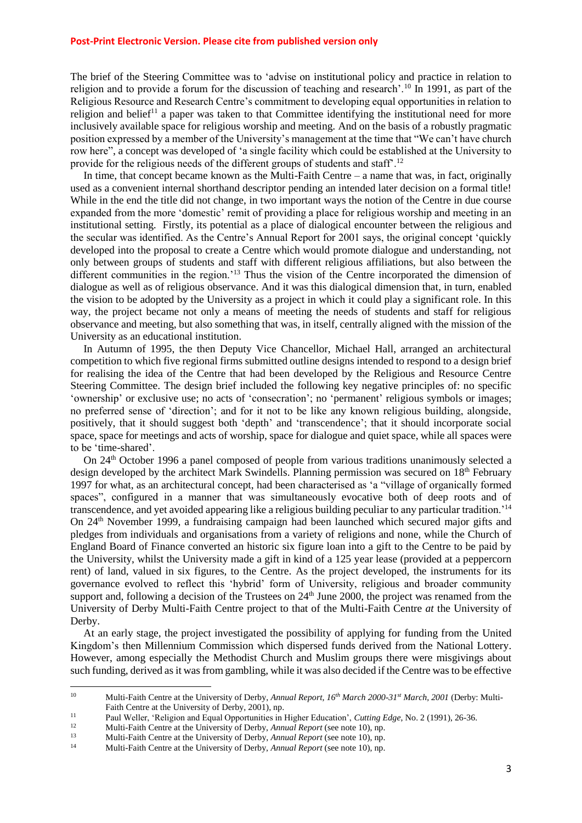The brief of the Steering Committee was to 'advise on institutional policy and practice in relation to religion and to provide a forum for the discussion of teaching and research'.<sup>10</sup> In 1991, as part of the Religious Resource and Research Centre's commitment to developing equal opportunities in relation to religion and belief<sup>11</sup> a paper was taken to that Committee identifying the institutional need for more inclusively available space for religious worship and meeting. And on the basis of a robustly pragmatic position expressed by a member of the University's management at the time that "We can't have church row here", a concept was developed of 'a single facility which could be established at the University to provide for the religious needs of the different groups of students and staff'.<sup>12</sup>

In time, that concept became known as the Multi-Faith Centre – a name that was, in fact, originally used as a convenient internal shorthand descriptor pending an intended later decision on a formal title! While in the end the title did not change, in two important ways the notion of the Centre in due course expanded from the more 'domestic' remit of providing a place for religious worship and meeting in an institutional setting. Firstly, its potential as a place of dialogical encounter between the religious and the secular was identified. As the Centre's Annual Report for 2001 says, the original concept 'quickly developed into the proposal to create a Centre which would promote dialogue and understanding, not only between groups of students and staff with different religious affiliations, but also between the different communities in the region.'<sup>13</sup> Thus the vision of the Centre incorporated the dimension of dialogue as well as of religious observance. And it was this dialogical dimension that, in turn, enabled the vision to be adopted by the University as a project in which it could play a significant role. In this way, the project became not only a means of meeting the needs of students and staff for religious observance and meeting, but also something that was, in itself, centrally aligned with the mission of the University as an educational institution.

In Autumn of 1995, the then Deputy Vice Chancellor, Michael Hall, arranged an architectural competition to which five regional firms submitted outline designs intended to respond to a design brief for realising the idea of the Centre that had been developed by the Religious and Resource Centre Steering Committee. The design brief included the following key negative principles of: no specific 'ownership' or exclusive use; no acts of 'consecration'; no 'permanent' religious symbols or images; no preferred sense of 'direction'; and for it not to be like any known religious building, alongside, positively, that it should suggest both 'depth' and 'transcendence'; that it should incorporate social space, space for meetings and acts of worship, space for dialogue and quiet space, while all spaces were to be 'time-shared'.

On 24th October 1996 a panel composed of people from various traditions unanimously selected a design developed by the architect Mark Swindells. Planning permission was secured on 18<sup>th</sup> February 1997 for what, as an architectural concept, had been characterised as 'a "village of organically formed spaces", configured in a manner that was simultaneously evocative both of deep roots and of transcendence, and yet avoided appearing like a religious building peculiar to any particular tradition.'<sup>14</sup> On 24th November 1999, a fundraising campaign had been launched which secured major gifts and pledges from individuals and organisations from a variety of religions and none, while the Church of England Board of Finance converted an historic six figure loan into a gift to the Centre to be paid by the University, whilst the University made a gift in kind of a 125 year lease (provided at a peppercorn rent) of land, valued in six figures, to the Centre. As the project developed, the instruments for its governance evolved to reflect this 'hybrid' form of University, religious and broader community support and, following a decision of the Trustees on  $24<sup>th</sup>$  June 2000, the project was renamed from the University of Derby Multi-Faith Centre project to that of the Multi-Faith Centre *at* the University of Derby.

At an early stage, the project investigated the possibility of applying for funding from the United Kingdom's then Millennium Commission which dispersed funds derived from the National Lottery. However, among especially the Methodist Church and Muslim groups there were misgivings about such funding, derived as it was from gambling, while it was also decided if the Centre was to be effective

 $10<sup>10</sup>$ <sup>10</sup> Multi-Faith Centre at the University of Derby, *Annual Report, 16th March 2000-31st March, 2001* (Derby: Multi-Faith Centre at the University of Derby, 2001), np.

<sup>11</sup> Paul Weller, 'Religion and Equal Opportunities in Higher Education', *Cutting Edge*, No. 2 (1991), 26-36.

<sup>12</sup> Multi-Faith Centre at the University of Derby, *Annual Report* (see note 10), np.

<sup>13</sup> Multi-Faith Centre at the University of Derby, *Annual Report* (see note 10), np.

<sup>14</sup> Multi-Faith Centre at the University of Derby, *Annual Report* (see note 10), np.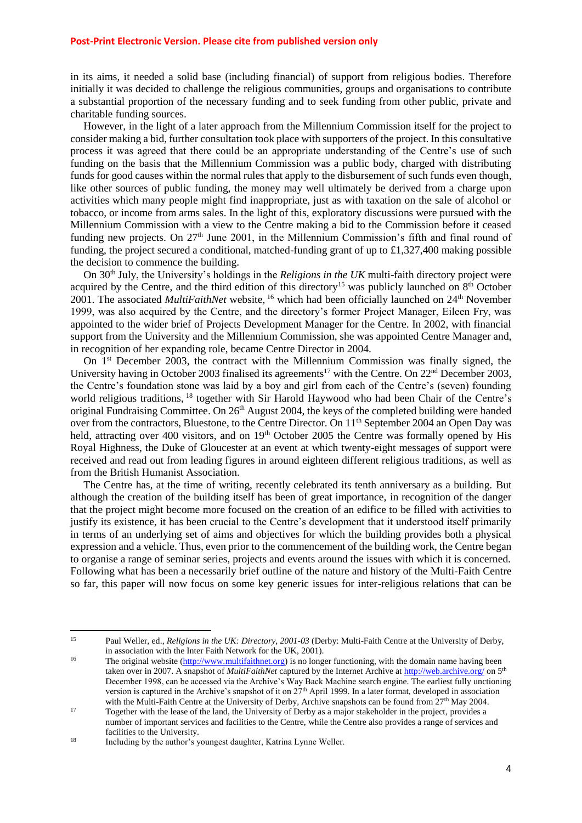in its aims, it needed a solid base (including financial) of support from religious bodies. Therefore initially it was decided to challenge the religious communities, groups and organisations to contribute a substantial proportion of the necessary funding and to seek funding from other public, private and charitable funding sources.

However, in the light of a later approach from the Millennium Commission itself for the project to consider making a bid, further consultation took place with supporters of the project. In this consultative process it was agreed that there could be an appropriate understanding of the Centre's use of such funding on the basis that the Millennium Commission was a public body, charged with distributing funds for good causes within the normal rules that apply to the disbursement of such funds even though, like other sources of public funding, the money may well ultimately be derived from a charge upon activities which many people might find inappropriate, just as with taxation on the sale of alcohol or tobacco, or income from arms sales. In the light of this, exploratory discussions were pursued with the Millennium Commission with a view to the Centre making a bid to the Commission before it ceased funding new projects. On  $27<sup>th</sup>$  June 2001, in the Millennium Commission's fifth and final round of funding, the project secured a conditional, matched-funding grant of up to £1,327,400 making possible the decision to commence the building.

On 30th July, the University's holdings in the *Religions in the UK* multi-faith directory project were acquired by the Centre, and the third edition of this directory<sup>15</sup> was publicly launched on 8<sup>th</sup> October 2001. The associated *MultiFaithNet* website, <sup>16</sup> which had been officially launched on 24<sup>th</sup> November 1999, was also acquired by the Centre, and the directory's former Project Manager, Eileen Fry, was appointed to the wider brief of Projects Development Manager for the Centre. In 2002, with financial support from the University and the Millennium Commission, she was appointed Centre Manager and, in recognition of her expanding role, became Centre Director in 2004.

On 1st December 2003, the contract with the Millennium Commission was finally signed, the University having in October 2003 finalised its agreements<sup>17</sup> with the Centre. On  $22<sup>nd</sup>$  December 2003, the Centre's foundation stone was laid by a boy and girl from each of the Centre's (seven) founding world religious traditions, <sup>18</sup> together with Sir Harold Haywood who had been Chair of the Centre's original Fundraising Committee. On 26<sup>th</sup> August 2004, the keys of the completed building were handed over from the contractors, Bluestone, to the Centre Director. On 11<sup>th</sup> September 2004 an Open Day was held, attracting over 400 visitors, and on 19<sup>th</sup> October 2005 the Centre was formally opened by His Royal Highness, the Duke of Gloucester at an event at which twenty-eight messages of support were received and read out from leading figures in around eighteen different religious traditions, as well as from the British Humanist Association.

The Centre has, at the time of writing, recently celebrated its tenth anniversary as a building. But although the creation of the building itself has been of great importance, in recognition of the danger that the project might become more focused on the creation of an edifice to be filled with activities to justify its existence, it has been crucial to the Centre's development that it understood itself primarily in terms of an underlying set of aims and objectives for which the building provides both a physical expression and a vehicle. Thus, even prior to the commencement of the building work, the Centre began to organise a range of seminar series, projects and events around the issues with which it is concerned. Following what has been a necessarily brief outline of the nature and history of the Multi-Faith Centre so far, this paper will now focus on some key generic issues for inter-religious relations that can be

1

<sup>15</sup> Paul Weller, ed., *Religions in the UK: Directory, 2001-03* (Derby: Multi-Faith Centre at the University of Derby, in association with the Inter Faith Network for the UK, 2001).

<sup>&</sup>lt;sup>16</sup> The original website [\(http://www.multifaithnet.org\)](http://www.multifaithnet.org/) is no longer functioning, with the domain name having been taken over in 2007. A snapshot of *MultiFaithNet* captured by the Internet Archive a[t http://web.archive.org/](http://web.archive.org/) on 5<sup>th</sup> December 1998, can be accessed via the Archive's Way Back Machine search engine. The earliest fully unctioning version is captured in the Archive's snapshot of it on 27<sup>th</sup> April 1999. In a later format, developed in association with the Multi-Faith Centre at the University of Derby, Archive snapshots can be found from 27<sup>th</sup> May 2004.

<sup>&</sup>lt;sup>17</sup> Together with the lease of the land, the University of Derby as a major stakeholder in the project, provides a number of important services and facilities to the Centre, while the Centre also provides a range of services and facilities to the University.

<sup>&</sup>lt;sup>18</sup> Including by the author's youngest daughter, Katrina Lynne Weller.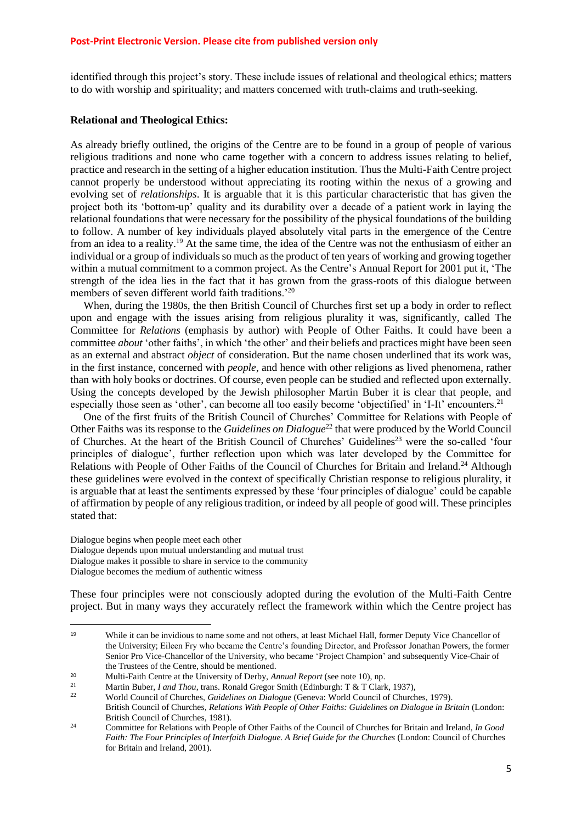identified through this project's story. These include issues of relational and theological ethics; matters to do with worship and spirituality; and matters concerned with truth-claims and truth-seeking.

#### **Relational and Theological Ethics:**

As already briefly outlined, the origins of the Centre are to be found in a group of people of various religious traditions and none who came together with a concern to address issues relating to belief, practice and research in the setting of a higher education institution. Thus the Multi-Faith Centre project cannot properly be understood without appreciating its rooting within the nexus of a growing and evolving set of *relationships*. It is arguable that it is this particular characteristic that has given the project both its 'bottom-up' quality and its durability over a decade of a patient work in laying the relational foundations that were necessary for the possibility of the physical foundations of the building to follow. A number of key individuals played absolutely vital parts in the emergence of the Centre from an idea to a reality.<sup>19</sup> At the same time, the idea of the Centre was not the enthusiasm of either an individual or a group of individuals so much as the product of ten years of working and growing together within a mutual commitment to a common project. As the Centre's Annual Report for 2001 put it, 'The strength of the idea lies in the fact that it has grown from the grass-roots of this dialogue between members of seven different world faith traditions.<sup>'20</sup>

When, during the 1980s, the then British Council of Churches first set up a body in order to reflect upon and engage with the issues arising from religious plurality it was, significantly, called The Committee for *Relations* (emphasis by author) with People of Other Faiths. It could have been a committee *about* 'other faiths', in which 'the other' and their beliefs and practices might have been seen as an external and abstract *object* of consideration. But the name chosen underlined that its work was, in the first instance, concerned with *people*, and hence with other religions as lived phenomena, rather than with holy books or doctrines. Of course, even people can be studied and reflected upon externally. Using the concepts developed by the Jewish philosopher Martin Buber it is clear that people, and especially those seen as 'other', can become all too easily become 'objectified' in 'I-It' encounters.<sup>21</sup>

One of the first fruits of the British Council of Churches' Committee for Relations with People of Other Faiths was its response to the *Guidelines on Dialogue*<sup>22</sup> that were produced by the World Council of Churches. At the heart of the British Council of Churches' Guidelines<sup>23</sup> were the so-called 'four principles of dialogue', further reflection upon which was later developed by the Committee for Relations with People of Other Faiths of the Council of Churches for Britain and Ireland.<sup>24</sup> Although these guidelines were evolved in the context of specifically Christian response to religious plurality, it is arguable that at least the sentiments expressed by these 'four principles of dialogue' could be capable of affirmation by people of any religious tradition, or indeed by all people of good will. These principles stated that:

Dialogue begins when people meet each other Dialogue depends upon mutual understanding and mutual trust Dialogue makes it possible to share in service to the community Dialogue becomes the medium of authentic witness

**.** 

These four principles were not consciously adopted during the evolution of the Multi-Faith Centre project. But in many ways they accurately reflect the framework within which the Centre project has

<sup>19</sup> While it can be invidious to name some and not others, at least Michael Hall, former Deputy Vice Chancellor of the University; Eileen Fry who became the Centre's founding Director, and Professor Jonathan Powers, the former Senior Pro Vice-Chancellor of the University, who became 'Project Champion' and subsequently Vice-Chair of the Trustees of the Centre, should be mentioned.

<sup>20</sup> Multi-Faith Centre at the University of Derby, *Annual Report* (see note 10), np.

<sup>&</sup>lt;sup>21</sup> Martin Buber, *I and Thou*, trans. Ronald Gregor Smith (Edinburgh: T & T Clark, 1937),<br><sup>22</sup> World Gauneil of Churches, *Cuidalines* an Dislague (Ganaus World Gauneil of Church

<sup>22</sup> World Council of Churches, *Guidelines on Dialogue* (Geneva: World Council of Churches, 1979). British Council of Churches, *Relations With People of Other Faiths: Guidelines on Dialogue in Britain* (London: British Council of Churches, 1981).

<sup>24</sup> Committee for Relations with People of Other Faiths of the Council of Churches for Britain and Ireland, *In Good Faith: The Four Principles of Interfaith Dialogue. A Brief Guide for the Churches* (London: Council of Churches for Britain and Ireland, 2001).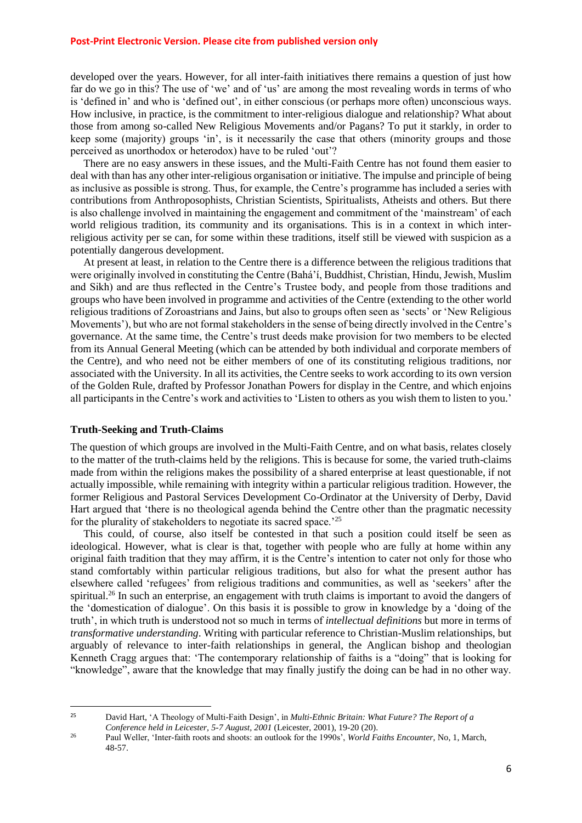developed over the years. However, for all inter-faith initiatives there remains a question of just how far do we go in this? The use of 'we' and of 'us' are among the most revealing words in terms of who is 'defined in' and who is 'defined out', in either conscious (or perhaps more often) unconscious ways. How inclusive, in practice, is the commitment to inter-religious dialogue and relationship? What about those from among so-called New Religious Movements and/or Pagans? To put it starkly, in order to keep some (majority) groups 'in', is it necessarily the case that others (minority groups and those perceived as unorthodox or heterodox) have to be ruled 'out'?

There are no easy answers in these issues, and the Multi-Faith Centre has not found them easier to deal with than has any other inter-religious organisation or initiative. The impulse and principle of being as inclusive as possible is strong. Thus, for example, the Centre's programme has included a series with contributions from Anthroposophists, Christian Scientists, Spiritualists, Atheists and others. But there is also challenge involved in maintaining the engagement and commitment of the 'mainstream' of each world religious tradition, its community and its organisations. This is in a context in which interreligious activity per se can, for some within these traditions, itself still be viewed with suspicion as a potentially dangerous development.

At present at least, in relation to the Centre there is a difference between the religious traditions that were originally involved in constituting the Centre (Bahá'í, Buddhist, Christian, Hindu, Jewish, Muslim and Sikh) and are thus reflected in the Centre's Trustee body, and people from those traditions and groups who have been involved in programme and activities of the Centre (extending to the other world religious traditions of Zoroastrians and Jains, but also to groups often seen as 'sects' or 'New Religious Movements'), but who are not formal stakeholders in the sense of being directly involved in the Centre's governance. At the same time, the Centre's trust deeds make provision for two members to be elected from its Annual General Meeting (which can be attended by both individual and corporate members of the Centre), and who need not be either members of one of its constituting religious traditions, nor associated with the University. In all its activities, the Centre seeks to work according to its own version of the Golden Rule, drafted by Professor Jonathan Powers for display in the Centre, and which enjoins all participants in the Centre's work and activities to 'Listen to others as you wish them to listen to you.'

#### **Truth-Seeking and Truth-Claims**

**.** 

The question of which groups are involved in the Multi-Faith Centre, and on what basis, relates closely to the matter of the truth-claims held by the religions. This is because for some, the varied truth-claims made from within the religions makes the possibility of a shared enterprise at least questionable, if not actually impossible, while remaining with integrity within a particular religious tradition. However, the former Religious and Pastoral Services Development Co-Ordinator at the University of Derby, David Hart argued that 'there is no theological agenda behind the Centre other than the pragmatic necessity for the plurality of stakeholders to negotiate its sacred space.'<sup>25</sup>

This could, of course, also itself be contested in that such a position could itself be seen as ideological. However, what is clear is that, together with people who are fully at home within any original faith tradition that they may affirm, it is the Centre's intention to cater not only for those who stand comfortably within particular religious traditions, but also for what the present author has elsewhere called 'refugees' from religious traditions and communities, as well as 'seekers' after the spiritual.<sup>26</sup> In such an enterprise, an engagement with truth claims is important to avoid the dangers of the 'domestication of dialogue'. On this basis it is possible to grow in knowledge by a 'doing of the truth', in which truth is understood not so much in terms of *intellectual definitions* but more in terms of *transformative understanding*. Writing with particular reference to Christian-Muslim relationships, but arguably of relevance to inter-faith relationships in general, the Anglican bishop and theologian Kenneth Cragg argues that: 'The contemporary relationship of faiths is a "doing" that is looking for "knowledge", aware that the knowledge that may finally justify the doing can be had in no other way.

<sup>25</sup> David Hart, 'A Theology of Multi-Faith Design', in *Multi-Ethnic Britain: What Future? The Report of a Conference held in Leicester, 5-7 August, 2001* (Leicester, 2001), 19-20 (20).

<sup>26</sup> Paul Weller, 'Inter-faith roots and shoots: an outlook for the 1990s', *World Faiths Encounter*, No, 1, March, 48-57.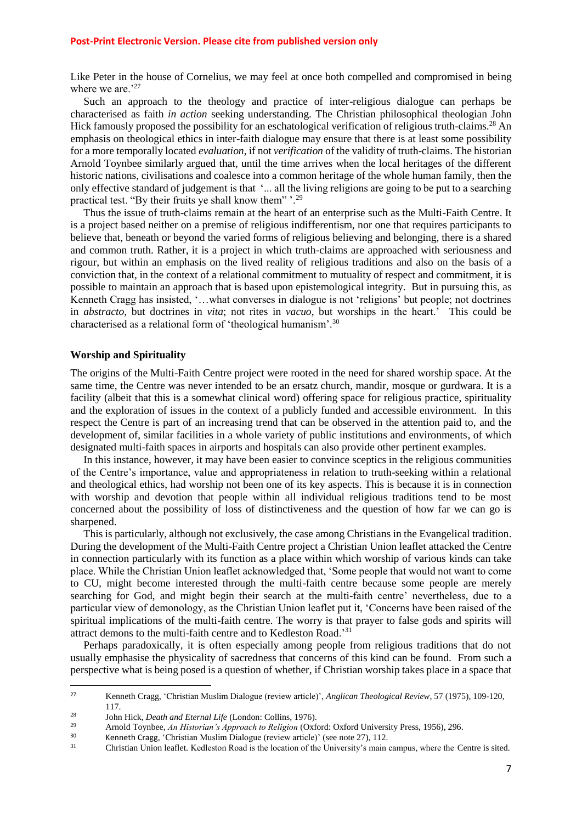Like Peter in the house of Cornelius, we may feel at once both compelled and compromised in being where we are.<sup>'27</sup>

Such an approach to the theology and practice of inter-religious dialogue can perhaps be characterised as faith *in action* seeking understanding. The Christian philosophical theologian John Hick famously proposed the possibility for an eschatological verification of religious truth-claims.<sup>28</sup> An emphasis on theological ethics in inter-faith dialogue may ensure that there is at least some possibility for a more temporally located *evaluation*, if not *verification* of the validity of truth-claims. The historian Arnold Toynbee similarly argued that, until the time arrives when the local heritages of the different historic nations, civilisations and coalesce into a common heritage of the whole human family, then the only effective standard of judgement is that '... all the living religions are going to be put to a searching practical test. "By their fruits ye shall know them" '.<sup>29</sup>

Thus the issue of truth-claims remain at the heart of an enterprise such as the Multi-Faith Centre. It is a project based neither on a premise of religious indifferentism, nor one that requires participants to believe that, beneath or beyond the varied forms of religious believing and belonging, there is a shared and common truth. Rather, it is a project in which truth-claims are approached with seriousness and rigour, but within an emphasis on the lived reality of religious traditions and also on the basis of a conviction that, in the context of a relational commitment to mutuality of respect and commitment, it is possible to maintain an approach that is based upon epistemological integrity. But in pursuing this, as Kenneth Cragg has insisted, '…what converses in dialogue is not 'religions' but people; not doctrines in *abstracto*, but doctrines in *vita*; not rites in *vacuo*, but worships in the heart.' This could be characterised as a relational form of 'theological humanism'.<sup>30</sup>

#### **Worship and Spirituality**

**.** 

The origins of the Multi-Faith Centre project were rooted in the need for shared worship space. At the same time, the Centre was never intended to be an ersatz church, mandir, mosque or gurdwara. It is a facility (albeit that this is a somewhat clinical word) offering space for religious practice, spirituality and the exploration of issues in the context of a publicly funded and accessible environment. In this respect the Centre is part of an increasing trend that can be observed in the attention paid to, and the development of, similar facilities in a whole variety of public institutions and environments, of which designated multi-faith spaces in airports and hospitals can also provide other pertinent examples.

In this instance, however, it may have been easier to convince sceptics in the religious communities of the Centre's importance, value and appropriateness in relation to truth-seeking within a relational and theological ethics, had worship not been one of its key aspects. This is because it is in connection with worship and devotion that people within all individual religious traditions tend to be most concerned about the possibility of loss of distinctiveness and the question of how far we can go is sharpened.

This is particularly, although not exclusively, the case among Christians in the Evangelical tradition. During the development of the Multi-Faith Centre project a Christian Union leaflet attacked the Centre in connection particularly with its function as a place within which worship of various kinds can take place. While the Christian Union leaflet acknowledged that, 'Some people that would not want to come to CU, might become interested through the multi-faith centre because some people are merely searching for God, and might begin their search at the multi-faith centre' nevertheless, due to a particular view of demonology, as the Christian Union leaflet put it, 'Concerns have been raised of the spiritual implications of the multi-faith centre. The worry is that prayer to false gods and spirits will attract demons to the multi-faith centre and to Kedleston Road.'<sup>31</sup>

Perhaps paradoxically, it is often especially among people from religious traditions that do not usually emphasise the physicality of sacredness that concerns of this kind can be found. From such a perspective what is being posed is a question of whether, if Christian worship takes place in a space that

<sup>27</sup> Kenneth Cragg, 'Christian Muslim Dialogue (review article)', *Anglican Theological Review*, 57 (1975), 109-120, 117.

<sup>28</sup> John Hick, *Death and Eternal Life* (London: Collins, 1976).

<sup>29</sup> Arnold Toynbee, *An Historian's Approach to Religion* (Oxford: Oxford University Press, 1956), 296.

<sup>30</sup> Kenneth Cragg, 'Christian Muslim Dialogue (review article)' (see note 27), 112.

<sup>31</sup> Christian Union leaflet. Kedleston Road is the location of the University's main campus, where the Centre is sited.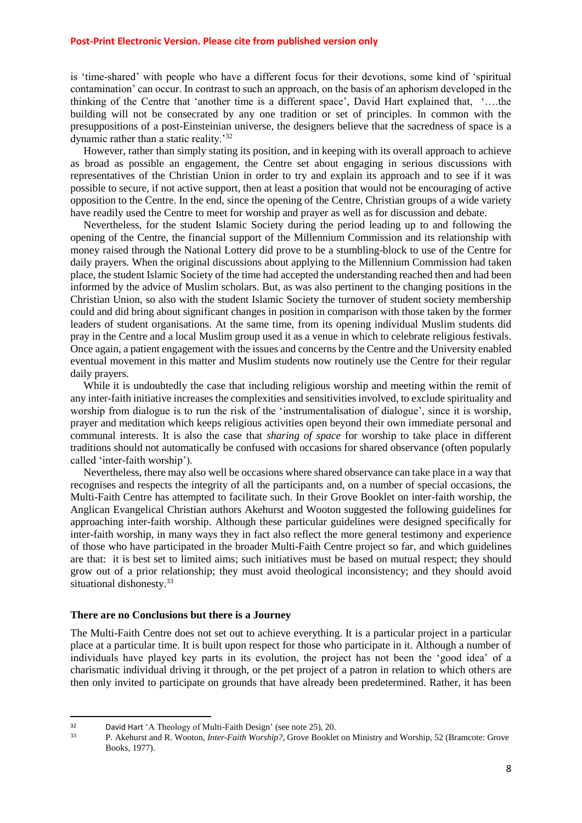is 'time-shared' with people who have a different focus for their devotions, some kind of 'spiritual contamination' can occur. In contrast to such an approach, on the basis of an aphorism developed in the thinking of the Centre that 'another time is a different space', David Hart explained that, '….the building will not be consecrated by any one tradition or set of principles. In common with the presuppositions of a post-Einsteinian universe, the designers believe that the sacredness of space is a dynamic rather than a static reality.'<sup>32</sup>

However, rather than simply stating its position, and in keeping with its overall approach to achieve as broad as possible an engagement, the Centre set about engaging in serious discussions with representatives of the Christian Union in order to try and explain its approach and to see if it was possible to secure, if not active support, then at least a position that would not be encouraging of active opposition to the Centre. In the end, since the opening of the Centre, Christian groups of a wide variety have readily used the Centre to meet for worship and prayer as well as for discussion and debate.

Nevertheless, for the student Islamic Society during the period leading up to and following the opening of the Centre, the financial support of the Millennium Commission and its relationship with money raised through the National Lottery did prove to be a stumbling-block to use of the Centre for daily prayers. When the original discussions about applying to the Millennium Commission had taken place, the student Islamic Society of the time had accepted the understanding reached then and had been informed by the advice of Muslim scholars. But, as was also pertinent to the changing positions in the Christian Union, so also with the student Islamic Society the turnover of student society membership could and did bring about significant changes in position in comparison with those taken by the former leaders of student organisations. At the same time, from its opening individual Muslim students did pray in the Centre and a local Muslim group used it as a venue in which to celebrate religious festivals. Once again, a patient engagement with the issues and concerns by the Centre and the University enabled eventual movement in this matter and Muslim students now routinely use the Centre for their regular daily prayers.

While it is undoubtedly the case that including religious worship and meeting within the remit of any inter-faith initiative increases the complexities and sensitivities involved, to exclude spirituality and worship from dialogue is to run the risk of the 'instrumentalisation of dialogue', since it is worship, prayer and meditation which keeps religious activities open beyond their own immediate personal and communal interests. It is also the case that *sharing of space* for worship to take place in different traditions should not automatically be confused with occasions for shared observance (often popularly called 'inter-faith worship').

Nevertheless, there may also well be occasions where shared observance can take place in a way that recognises and respects the integrity of all the participants and, on a number of special occasions, the Multi-Faith Centre has attempted to facilitate such. In their Grove Booklet on inter-faith worship, the Anglican Evangelical Christian authors Akehurst and Wooton suggested the following guidelines for approaching inter-faith worship. Although these particular guidelines were designed specifically for inter-faith worship, in many ways they in fact also reflect the more general testimony and experience of those who have participated in the broader Multi-Faith Centre project so far, and which guidelines are that: it is best set to limited aims; such initiatives must be based on mutual respect; they should grow out of a prior relationship; they must avoid theological inconsistency; and they should avoid situational dishonesty.<sup>33</sup>

#### **There are no Conclusions but there is a Journey**

1

The Multi-Faith Centre does not set out to achieve everything. It is a particular project in a particular place at a particular time. It is built upon respect for those who participate in it. Although a number of individuals have played key parts in its evolution, the project has not been the 'good idea' of a charismatic individual driving it through, or the pet project of a patron in relation to which others are then only invited to participate on grounds that have already been predetermined. Rather, it has been

 $32$  David Hart 'A Theology of Multi-Faith Design' (see note 25), 20.<br>  $33$  P. Akeburst and P. Wooton, *Inter Eaith Worshin*? Grove Booklet

<sup>33</sup> P. Akehurst and R. Wooton, *Inter-Faith Worship?*, Grove Booklet on Ministry and Worship, 52 (Bramcote: Grove Books, 1977).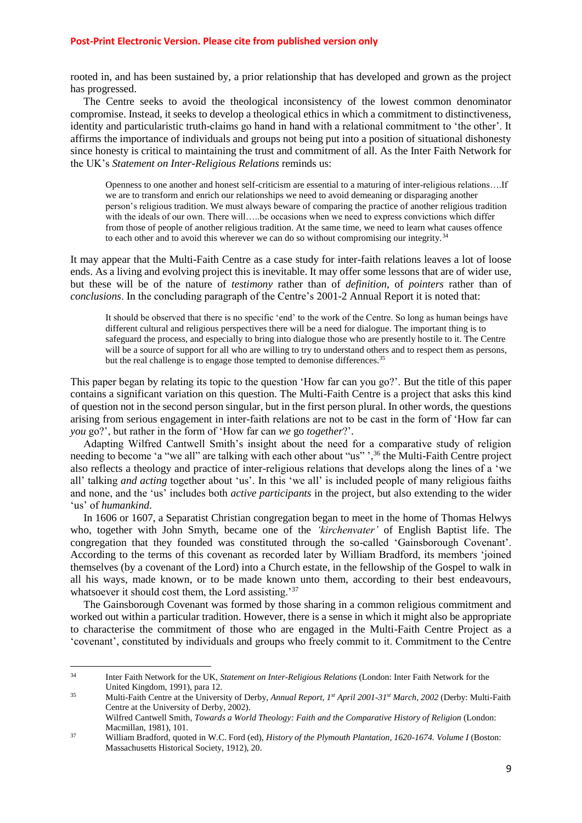rooted in, and has been sustained by, a prior relationship that has developed and grown as the project has progressed.

The Centre seeks to avoid the theological inconsistency of the lowest common denominator compromise. Instead, it seeks to develop a theological ethics in which a commitment to distinctiveness, identity and particularistic truth-claims go hand in hand with a relational commitment to 'the other'. It affirms the importance of individuals and groups not being put into a position of situational dishonesty since honesty is critical to maintaining the trust and commitment of all. As the Inter Faith Network for the UK's *Statement on Inter-Religious Relations* reminds us:

Openness to one another and honest self-criticism are essential to a maturing of inter-religious relations….If we are to transform and enrich our relationships we need to avoid demeaning or disparaging another person's religious tradition. We must always beware of comparing the practice of another religious tradition with the ideals of our own. There will…..be occasions when we need to express convictions which differ from those of people of another religious tradition. At the same time, we need to learn what causes offence to each other and to avoid this wherever we can do so without compromising our integrity.<sup>34</sup>

It may appear that the Multi-Faith Centre as a case study for inter-faith relations leaves a lot of loose ends. As a living and evolving project this is inevitable. It may offer some lessons that are of wider use, but these will be of the nature of *testimony* rather than of *definition*, of *pointers* rather than of *conclusions*. In the concluding paragraph of the Centre's 2001-2 Annual Report it is noted that:

It should be observed that there is no specific 'end' to the work of the Centre. So long as human beings have different cultural and religious perspectives there will be a need for dialogue. The important thing is to safeguard the process, and especially to bring into dialogue those who are presently hostile to it. The Centre will be a source of support for all who are willing to try to understand others and to respect them as persons, but the real challenge is to engage those tempted to demonise differences.<sup>35</sup>

This paper began by relating its topic to the question 'How far can you go?'. But the title of this paper contains a significant variation on this question. The Multi-Faith Centre is a project that asks this kind of question not in the second person singular, but in the first person plural. In other words, the questions arising from serious engagement in inter-faith relations are not to be cast in the form of 'How far can *you* go?', but rather in the form of 'How far can *we* go *together*?'.

Adapting Wilfred Cantwell Smith's insight about the need for a comparative study of religion needing to become 'a "we all" are talking with each other about "us" ',<sup>36</sup> the Multi-Faith Centre project also reflects a theology and practice of inter-religious relations that develops along the lines of a 'we all' talking *and acting* together about 'us'. In this 'we all' is included people of many religious faiths and none, and the 'us' includes both *active participants* in the project, but also extending to the wider 'us' of *humankind*.

In 1606 or 1607, a Separatist Christian congregation began to meet in the home of Thomas Helwys who, together with John Smyth, became one of the *'kirchenvater'* of English Baptist life. The congregation that they founded was constituted through the so-called 'Gainsborough Covenant'. According to the terms of this covenant as recorded later by William Bradford, its members 'joined themselves (by a covenant of the Lord) into a Church estate, in the fellowship of the Gospel to walk in all his ways, made known, or to be made known unto them, according to their best endeavours, whatsoever it should cost them, the Lord assisting.'<sup>37</sup>

The Gainsborough Covenant was formed by those sharing in a common religious commitment and worked out within a particular tradition. However, there is a sense in which it might also be appropriate to characterise the commitment of those who are engaged in the Multi-Faith Centre Project as a 'covenant', constituted by individuals and groups who freely commit to it. Commitment to the Centre

**.** 

<sup>34</sup> Inter Faith Network for the UK, *Statement on Inter-Religious Relations* (London: Inter Faith Network for the United Kingdom, 1991), para 12.

<sup>35</sup> Multi-Faith Centre at the University of Derby, *Annual Report, 1st April 2001-31st March, 2002* (Derby: Multi-Faith Centre at the University of Derby, 2002).

Wilfred Cantwell Smith, *Towards a World Theology: Faith and the Comparative History of Religion* (London: Macmillan, 1981), 101.

<sup>37</sup> William Bradford, quoted in W.C. Ford (ed), *History of the Plymouth Plantation, 1620-1674. Volume I* (Boston: Massachusetts Historical Society, 1912), 20.